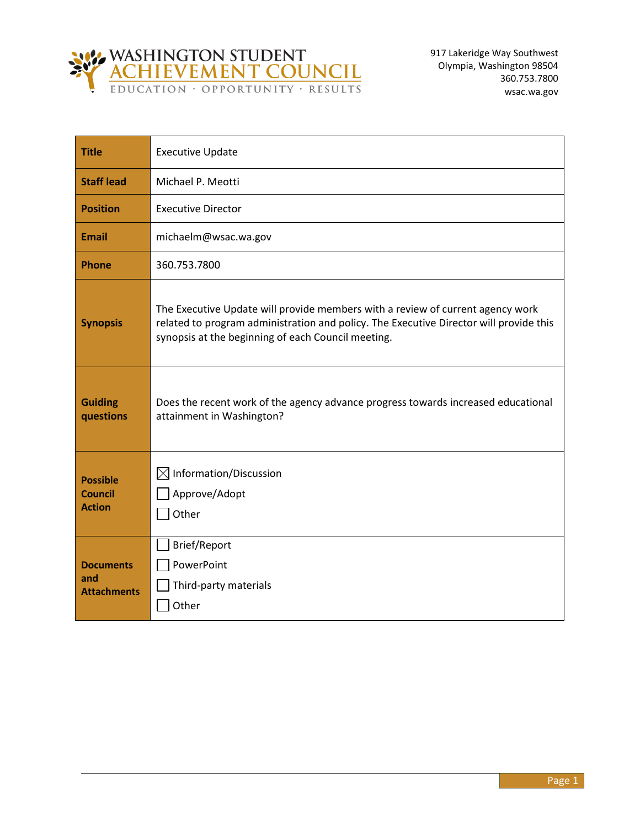

| <b>Title</b>                                       | <b>Executive Update</b>                                                                                                                                                                                                        |
|----------------------------------------------------|--------------------------------------------------------------------------------------------------------------------------------------------------------------------------------------------------------------------------------|
| <b>Staff lead</b>                                  | Michael P. Meotti                                                                                                                                                                                                              |
| <b>Position</b>                                    | <b>Executive Director</b>                                                                                                                                                                                                      |
| <b>Email</b>                                       | michaelm@wsac.wa.gov                                                                                                                                                                                                           |
| <b>Phone</b>                                       | 360.753.7800                                                                                                                                                                                                                   |
| <b>Synopsis</b>                                    | The Executive Update will provide members with a review of current agency work<br>related to program administration and policy. The Executive Director will provide this<br>synopsis at the beginning of each Council meeting. |
| <b>Guiding</b><br>questions                        | Does the recent work of the agency advance progress towards increased educational<br>attainment in Washington?                                                                                                                 |
| <b>Possible</b><br><b>Council</b><br><b>Action</b> | $\boxtimes$ Information/Discussion<br>Approve/Adopt<br>Other                                                                                                                                                                   |
| <b>Documents</b><br>and<br><b>Attachments</b>      | Brief/Report<br>PowerPoint<br>Third-party materials<br>Other                                                                                                                                                                   |